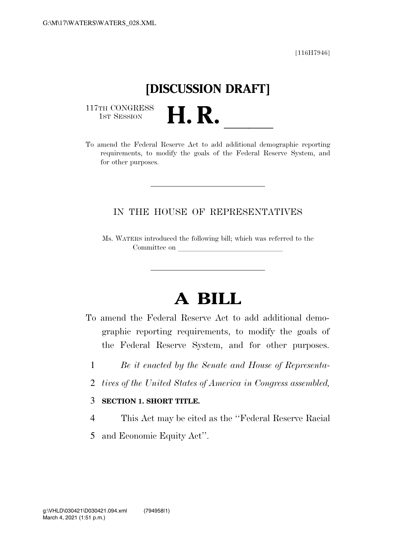[116H7946]

## **[DISCUSSION DRAFT]**

117TH CONGRESS<br>1st Session

117TH CONGRESS<br>1st SESSION **H. R.** <u>International demographic reporting</u> requirements, to modify the goals of the Federal Reserve System, and for other purposes.

## IN THE HOUSE OF REPRESENTATIVES

Ms. WATERS introduced the following bill; which was referred to the Committee on

## **A BILL**

To amend the Federal Reserve Act to add additional demographic reporting requirements, to modify the goals of the Federal Reserve System, and for other purposes.

- 1 *Be it enacted by the Senate and House of Representa-*
- 2 *tives of the United States of America in Congress assembled,*
- 3 **SECTION 1. SHORT TITLE.**
- 4 This Act may be cited as the ''Federal Reserve Racial
- 5 and Economic Equity Act''.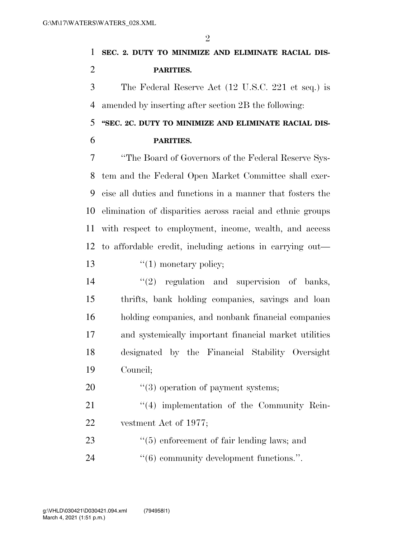**SEC. 2. DUTY TO MINIMIZE AND ELIMINATE RACIAL DIS-PARITIES.** 

 The Federal Reserve Act (12 U.S.C. 221 et seq.) is amended by inserting after section 2B the following:

 **''SEC. 2C. DUTY TO MINIMIZE AND ELIMINATE RACIAL DIS-PARITIES.** 

 ''The Board of Governors of the Federal Reserve Sys- tem and the Federal Open Market Committee shall exer- cise all duties and functions in a manner that fosters the elimination of disparities across racial and ethnic groups with respect to employment, income, wealth, and access to affordable credit, including actions in carrying out—  $\frac{1}{2}$   $\frac{1}{2}$  monetary policy;

- 14  $(2)$  regulation and supervision of banks, thrifts, bank holding companies, savings and loan holding companies, and nonbank financial companies and systemically important financial market utilities designated by the Financial Stability Oversight Council;
- 20  $\frac{1}{20}$  (3) operation of payment systems;

21  $\frac{4}{4}$  implementation of the Community Rein-vestment Act of 1977;

23 ''(5) enforcement of fair lending laws; and 24  $(6)$  community development functions.".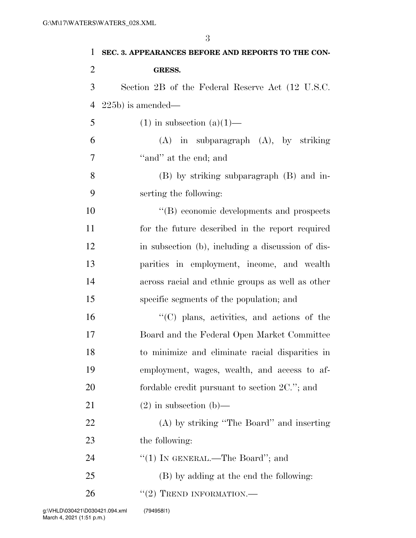| 1              | SEC. 3. APPEARANCES BEFORE AND REPORTS TO THE CON- |
|----------------|----------------------------------------------------|
| $\overline{2}$ | <b>GRESS.</b>                                      |
| 3              | Section 2B of the Federal Reserve Act (12 U.S.C.   |
| $\overline{4}$ | $(225b)$ is amended—                               |
| 5              | $(1)$ in subsection $(a)(1)$ —                     |
| 6              | $(A)$ in subparagraph $(A)$ , by striking          |
| 7              | "and" at the end; and                              |
| 8              | (B) by striking subparagraph (B) and in-           |
| 9              | serting the following:                             |
| 10             | "(B) economic developments and prospects           |
| 11             | for the future described in the report required    |
| 12             | in subsection (b), including a discussion of dis-  |
| 13             | parities in employment, income, and wealth         |
| 14             | across racial and ethnic groups as well as other   |
| 15             | specific segments of the population; and           |
| 16             | "(C) plans, activities, and actions of the         |
| 17             | Board and the Federal Open Market Committee        |
| 18             | to minimize and eliminate racial disparities in    |
| 19             | employment, wages, wealth, and access to af-       |
| 20             | fordable credit pursuant to section $2C$ ."; and   |
| 21             | $(2)$ in subsection $(b)$ —                        |
| 22             | (A) by striking "The Board" and inserting          |
| 23             | the following:                                     |
| 24             | "(1) IN GENERAL.—The Board"; and                   |
| 25             | (B) by adding at the end the following:            |
| 26             | $"(2)$ TREND INFORMATION.—                         |